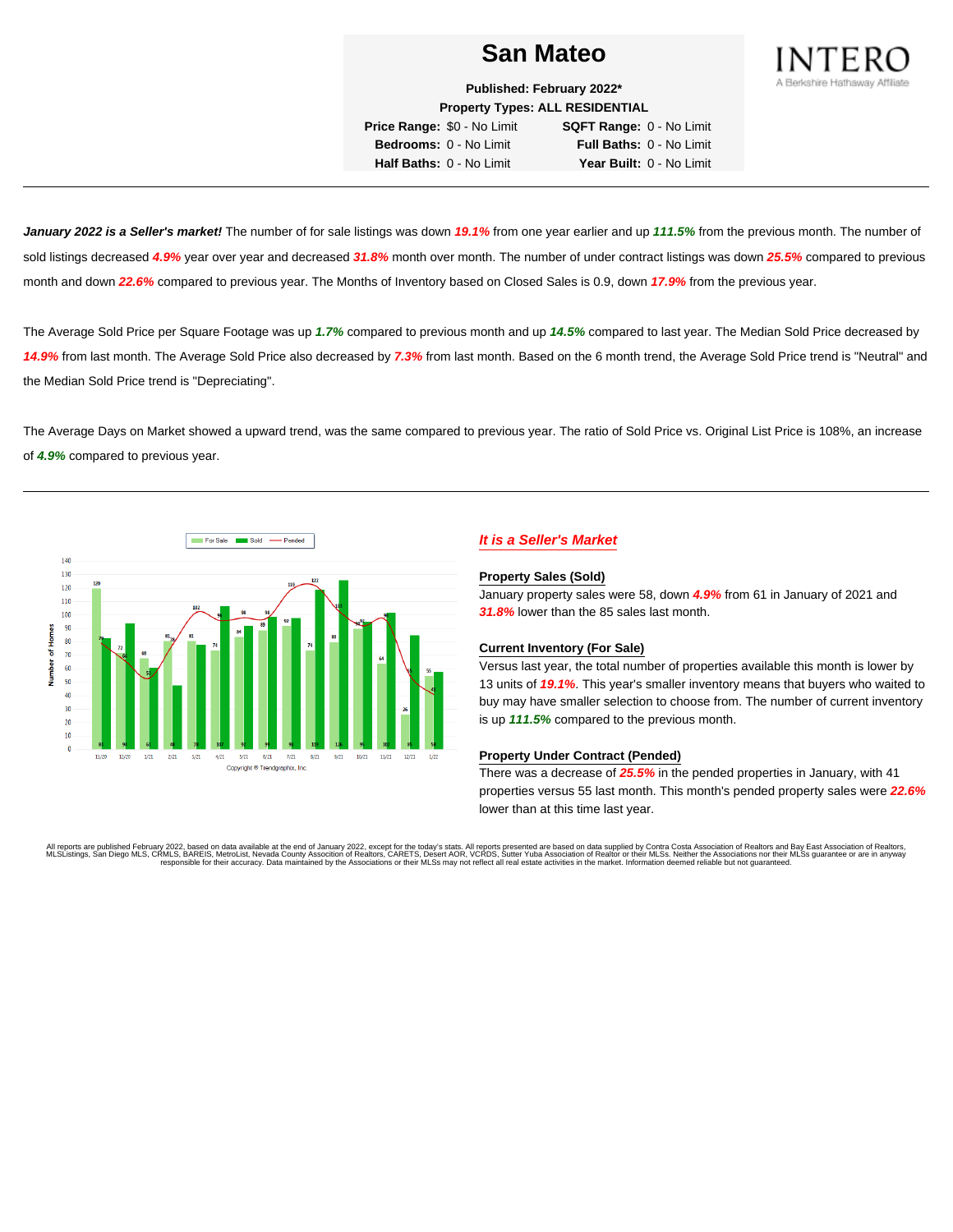

**Published: February 2022\* Property Types: ALL RESIDENTIAL**

**Price Range:** \$0 - No Limit **SQFT Range:** 0 - No Limit **Bedrooms:** 0 - No Limit **Full Baths:** 0 - No Limit **Half Baths:** 0 - No Limit **Year Built:** 0 - No Limit

**January 2022 is a Seller's market!** The number of for sale listings was down **19.1%** from one year earlier and up **111.5%** from the previous month. The number of sold listings decreased **4.9%** year over year and decreased **31.8%** month over month. The number of under contract listings was down **25.5%** compared to previous month and down **22.6%** compared to previous year. The Months of Inventory based on Closed Sales is 0.9, down **17.9%** from the previous year.

The Average Sold Price per Square Footage was up **1.7%** compared to previous month and up **14.5%** compared to last year. The Median Sold Price decreased by **14.9%** from last month. The Average Sold Price also decreased by **7.3%** from last month. Based on the 6 month trend, the Average Sold Price trend is "Neutral" and the Median Sold Price trend is "Depreciating".

The Average Days on Market showed a upward trend, was the same compared to previous year. The ratio of Sold Price vs. Original List Price is 108%, an increase of **4.9%** compared to previous year.



# **It is a Seller's Market**

#### **Property Sales (Sold)**

January property sales were 58, down **4.9%** from 61 in January of 2021 and **31.8%** lower than the 85 sales last month.

### **Current Inventory (For Sale)**

Versus last year, the total number of properties available this month is lower by 13 units of **19.1%**. This year's smaller inventory means that buyers who waited to buy may have smaller selection to choose from. The number of current inventory is up **111.5%** compared to the previous month.

#### **Property Under Contract (Pended)**

There was a decrease of **25.5%** in the pended properties in January, with 41 properties versus 55 last month. This month's pended property sales were **22.6%** lower than at this time last year.

All reports are published February 2022, based on data available at the end of January 2022, except for the today's stats. All reports presented are based on data supplied by Contra Costa Association of Realtors and Bay Ea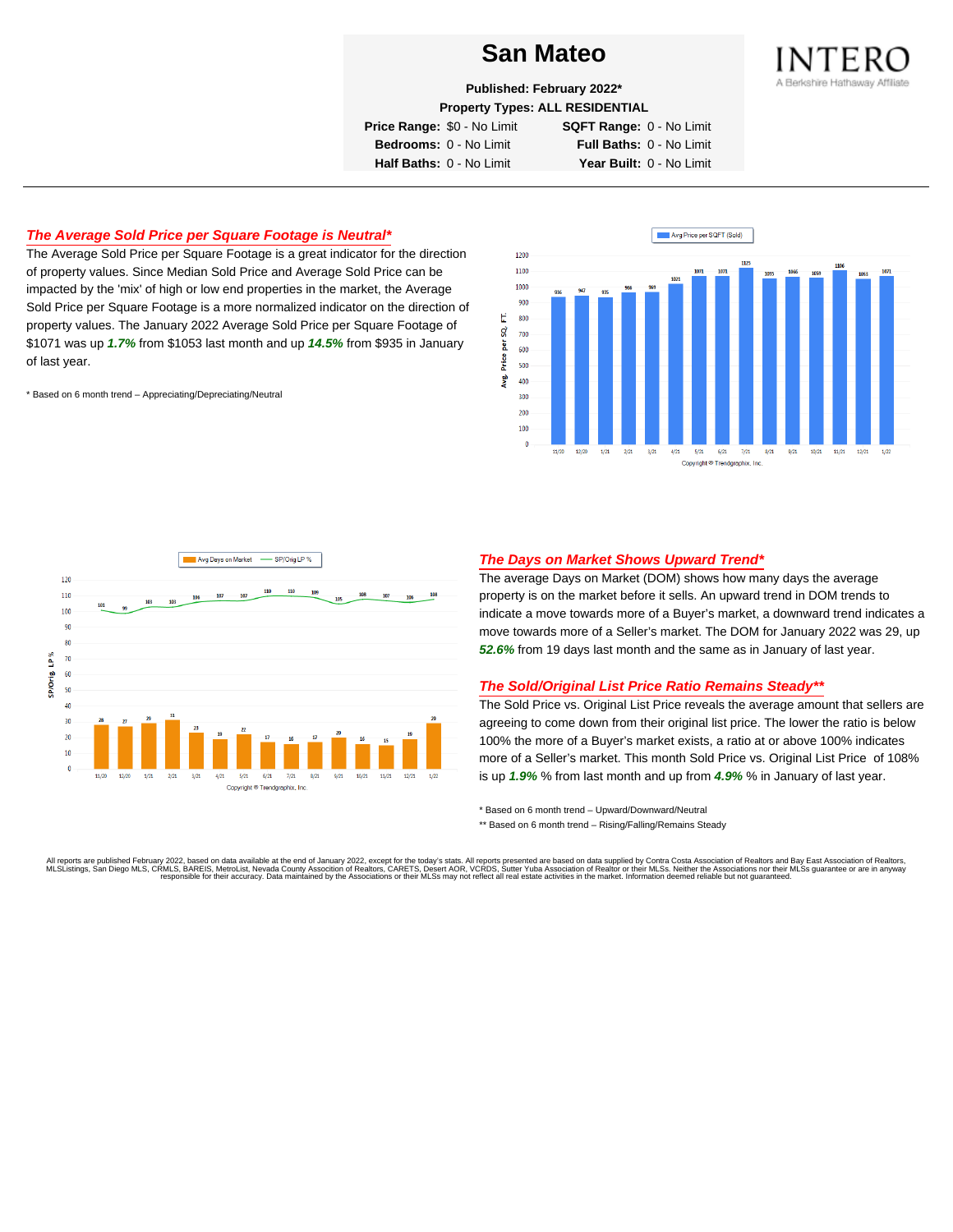

**Published: February 2022\***

**Property Types: ALL RESIDENTIAL**

**Price Range:** \$0 - No Limit **SQFT Range:** 0 - No Limit

**Bedrooms:** 0 - No Limit **Full Baths:** 0 - No Limit **Half Baths:** 0 - No Limit **Year Built:** 0 - No Limit

# **The Average Sold Price per Square Footage is Neutral\***

The Average Sold Price per Square Footage is a great indicator for the direction of property values. Since Median Sold Price and Average Sold Price can be impacted by the 'mix' of high or low end properties in the market, the Average Sold Price per Square Footage is a more normalized indicator on the direction of property values. The January 2022 Average Sold Price per Square Footage of \$1071 was up **1.7%** from \$1053 last month and up **14.5%** from \$935 in January of last year.

\* Based on 6 month trend – Appreciating/Depreciating/Neutral





### **The Days on Market Shows Upward Trend\***

The average Days on Market (DOM) shows how many days the average property is on the market before it sells. An upward trend in DOM trends to indicate a move towards more of a Buyer's market, a downward trend indicates a move towards more of a Seller's market. The DOM for January 2022 was 29, up **52.6%** from 19 days last month and the same as in January of last year.

#### **The Sold/Original List Price Ratio Remains Steady\*\***

The Sold Price vs. Original List Price reveals the average amount that sellers are agreeing to come down from their original list price. The lower the ratio is below 100% the more of a Buyer's market exists, a ratio at or above 100% indicates more of a Seller's market. This month Sold Price vs. Original List Price of 108% is up **1.9%** % from last month and up from **4.9%** % in January of last year.

\* Based on 6 month trend – Upward/Downward/Neutral

\*\* Based on 6 month trend - Rising/Falling/Remains Steady

All reports are published February 2022, based on data available at the end of January 2022, except for the today's stats. All reports presented are based on data supplied by Contra Costa Association of Realtors, and beat responsible for their accuracy. Data maintained by the Associations or their MLSs may not reflect all real estate activities in the market. Information deemed reliable but not quaranteed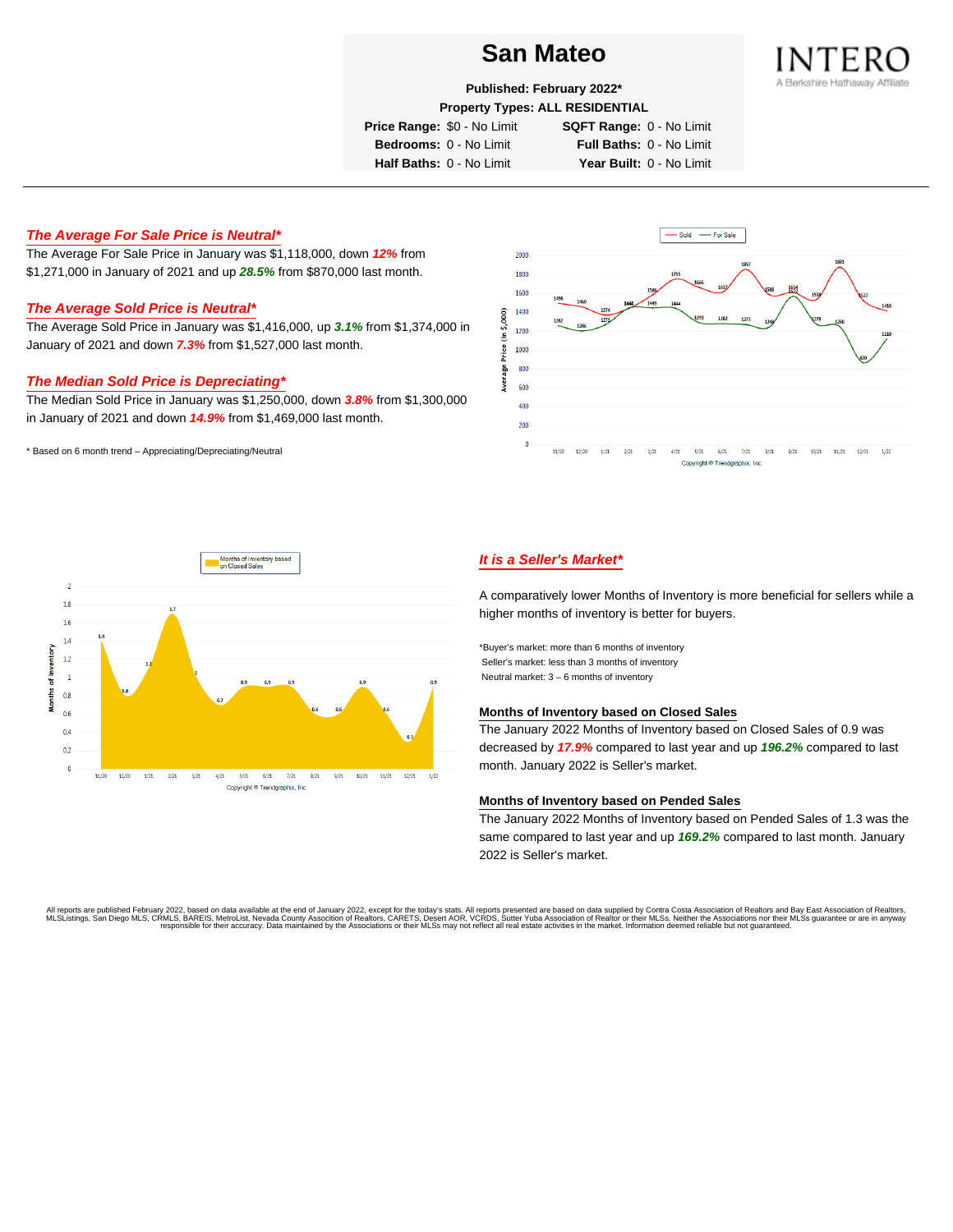

**Published: February 2022\***

**Property Types: ALL RESIDENTIAL**

**Price Range:** \$0 - No Limit **SQFT Range:** 0 - No Limit

**Bedrooms:** 0 - No Limit **Full Baths:** 0 - No Limit **Half Baths:** 0 - No Limit **Year Built:** 0 - No Limit

# **The Average For Sale Price is Neutral\***

The Average For Sale Price in January was \$1,118,000, down **12%** from \$1,271,000 in January of 2021 and up **28.5%** from \$870,000 last month.

## **The Average Sold Price is Neutral\***

The Average Sold Price in January was \$1,416,000, up **3.1%** from \$1,374,000 in January of 2021 and down **7.3%** from \$1,527,000 last month.

# **The Median Sold Price is Depreciating\***

The Median Sold Price in January was \$1,250,000, down **3.8%** from \$1,300,000 in January of 2021 and down **14.9%** from \$1,469,000 last month.

\* Based on 6 month trend – Appreciating/Depreciating/Neutral





## **It is a Seller's Market\***

A comparatively lower Months of Inventory is more beneficial for sellers while a higher months of inventory is better for buyers.

\*Buyer's market: more than 6 months of inventory Seller's market: less than 3 months of inventory Neutral market: 3 – 6 months of inventory

#### **Months of Inventory based on Closed Sales**

The January 2022 Months of Inventory based on Closed Sales of 0.9 was decreased by **17.9%** compared to last year and up **196.2%** compared to last month. January 2022 is Seller's market.

#### **Months of Inventory based on Pended Sales**

The January 2022 Months of Inventory based on Pended Sales of 1.3 was the same compared to last year and up **169.2%** compared to last month. January 2022 is Seller's market.

All reports are published February 2022, based on data available at the end of January 2022, except for the today's stats. All reports presented are based on data supplied by Contra Costa Association of Realtors, and beat responsible for their accuracy. Data maintained by the Associations or their MLSs may not reflect all real estate activities in the market. Information deemed reliable but not quaranteed